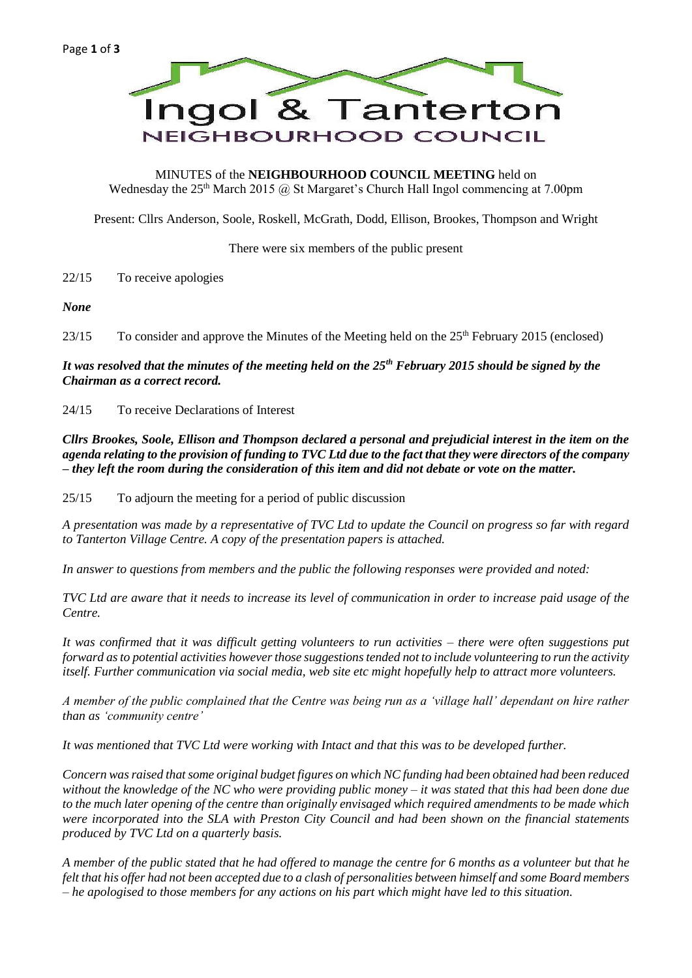

MINUTES of the **NEIGHBOURHOOD COUNCIL MEETING** held on Wednesday the  $25<sup>th</sup>$  March 2015 @ St Margaret's Church Hall Ingol commencing at 7.00pm

Present: Cllrs Anderson, Soole, Roskell, McGrath, Dodd, Ellison, Brookes, Thompson and Wright

There were six members of the public present

22/15 To receive apologies

*None*

23/15 To consider and approve the Minutes of the Meeting held on the 25<sup>th</sup> February 2015 (enclosed)

*It was resolved that the minutes of the meeting held on the 25th February 2015 should be signed by the Chairman as a correct record.*

24/15 To receive Declarations of Interest

*Cllrs Brookes, Soole, Ellison and Thompson declared a personal and prejudicial interest in the item on the agenda relating to the provision of funding to TVC Ltd due to the fact that they were directors of the company – they left the room during the consideration of this item and did not debate or vote on the matter.*

25/15 To adjourn the meeting for a period of public discussion

*A presentation was made by a representative of TVC Ltd to update the Council on progress so far with regard to Tanterton Village Centre. A copy of the presentation papers is attached.*

*In answer to questions from members and the public the following responses were provided and noted:*

*TVC Ltd are aware that it needs to increase its level of communication in order to increase paid usage of the Centre.*

*It was confirmed that it was difficult getting volunteers to run activities – there were often suggestions put forward as to potential activities however those suggestions tended not to include volunteering to run the activity itself. Further communication via social media, web site etc might hopefully help to attract more volunteers.*

*A member of the public complained that the Centre was being run as a 'village hall' dependant on hire rather than as 'community centre'*

*It was mentioned that TVC Ltd were working with Intact and that this was to be developed further.*

*Concern was raised that some original budget figures on which NC funding had been obtained had been reduced without the knowledge of the NC who were providing public money – it was stated that this had been done due to the much later opening of the centre than originally envisaged which required amendments to be made which were incorporated into the SLA with Preston City Council and had been shown on the financial statements produced by TVC Ltd on a quarterly basis.*

*A member of the public stated that he had offered to manage the centre for 6 months as a volunteer but that he felt that his offer had not been accepted due to a clash of personalities between himself and some Board members – he apologised to those members for any actions on his part which might have led to this situation.*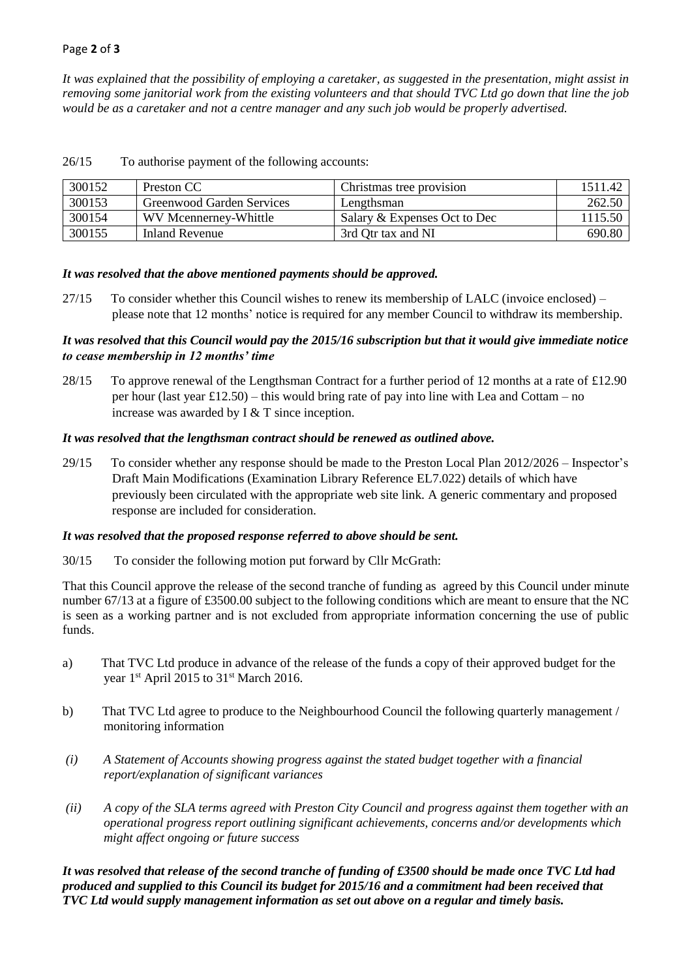*It was explained that the possibility of employing a caretaker, as suggested in the presentation, might assist in removing some janitorial work from the existing volunteers and that should TVC Ltd go down that line the job would be as a caretaker and not a centre manager and any such job would be properly advertised.*

| 300152 | Preston CC                | Christmas tree provision     | 1511.42 |
|--------|---------------------------|------------------------------|---------|
| 300153 | Greenwood Garden Services | Lengthsman                   | 262.50  |
| 300154 | WV Mcennerney-Whittle     | Salary & Expenses Oct to Dec | 1115.50 |
| 300155 | Inland Revenue            | 3rd Qtr tax and NI           | 690.80  |

26/15 To authorise payment of the following accounts:

### *It was resolved that the above mentioned payments should be approved.*

27/15 To consider whether this Council wishes to renew its membership of LALC (invoice enclosed) – please note that 12 months' notice is required for any member Council to withdraw its membership.

# *It was resolved that this Council would pay the 2015/16 subscription but that it would give immediate notice to cease membership in 12 months' time*

28/15 To approve renewal of the Lengthsman Contract for a further period of 12 months at a rate of £12.90 per hour (last year £12.50) – this would bring rate of pay into line with Lea and Cottam – no increase was awarded by I & T since inception.

### *It was resolved that the lengthsman contract should be renewed as outlined above.*

29/15 To consider whether any response should be made to the Preston Local Plan 2012/2026 – Inspector's Draft Main Modifications (Examination Library Reference EL7.022) details of which have previously been circulated with the appropriate web site link. A generic commentary and proposed response are included for consideration.

### *It was resolved that the proposed response referred to above should be sent.*

30/15 To consider the following motion put forward by Cllr McGrath:

That this Council approve the release of the second tranche of funding as agreed by this Council under minute number 67/13 at a figure of £3500.00 subject to the following conditions which are meant to ensure that the NC is seen as a working partner and is not excluded from appropriate information concerning the use of public funds.

- a) That TVC Ltd produce in advance of the release of the funds a copy of their approved budget for the year 1st April 2015 to 31st March 2016.
- b) That TVC Ltd agree to produce to the Neighbourhood Council the following quarterly management / monitoring information
- *(i) A Statement of Accounts showing progress against the stated budget together with a financial report/explanation of significant variances*
- *(ii) A copy of the SLA terms agreed with Preston City Council and progress against them together with an operational progress report outlining significant achievements, concerns and/or developments which might affect ongoing or future success*

*It was resolved that release of the second tranche of funding of £3500 should be made once TVC Ltd had produced and supplied to this Council its budget for 2015/16 and a commitment had been received that TVC Ltd would supply management information as set out above on a regular and timely basis.*